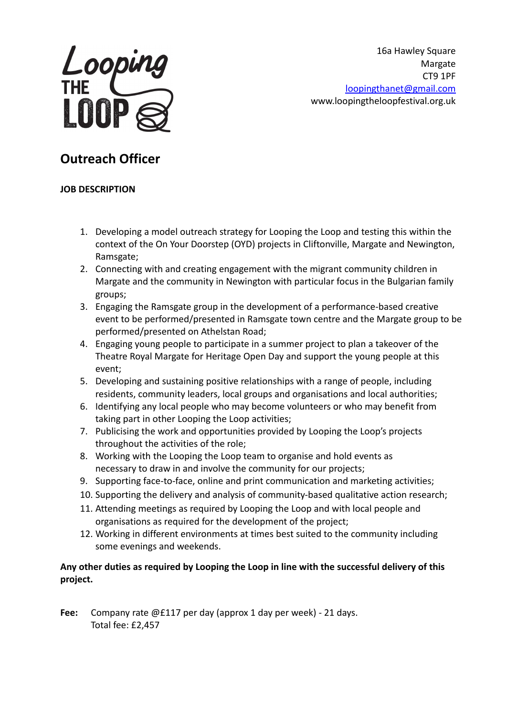

16a Hawley Square Margate CT9 1PF [loopingthanet@gmail.com](mailto:loopingthanet@gmail.com) www.loopingtheloopfestival.org.uk

# **Outreach Officer**

### **JOB DESCRIPTION**

- 1. Developing a model outreach strategy for Looping the Loop and testing this within the context of the On Your Doorstep (OYD) projects in Cliftonville, Margate and Newington, Ramsgate;
- 2. Connecting with and creating engagement with the migrant community children in Margate and the community in Newington with particular focus in the Bulgarian family groups;
- 3. Engaging the Ramsgate group in the development of a performance-based creative event to be performed/presented in Ramsgate town centre and the Margate group to be performed/presented on Athelstan Road;
- 4. Engaging young people to participate in a summer project to plan a takeover of the Theatre Royal Margate for Heritage Open Day and support the young people at this event;
- 5. Developing and sustaining positive relationships with a range of people, including residents, community leaders, local groups and organisations and local authorities;
- 6. Identifying any local people who may become volunteers or who may benefit from taking part in other Looping the Loop activities;
- 7. Publicising the work and opportunities provided by Looping the Loop's projects throughout the activities of the role;
- 8. Working with the Looping the Loop team to organise and hold events as necessary to draw in and involve the community for our projects;
- 9. Supporting face-to-face, online and print communication and marketing activities;
- 10. Supporting the delivery and analysis of community-based qualitative action research;
- 11. Attending meetings as required by Looping the Loop and with local people and organisations as required for the development of the project;
- 12. Working in different environments at times best suited to the community including some evenings and weekends.

## **Any other duties as required by Looping the Loop in line with the successful delivery of this project.**

**Fee:** Company rate @£117 per day (approx 1 day per week) - 21 days. Total fee: £2,457